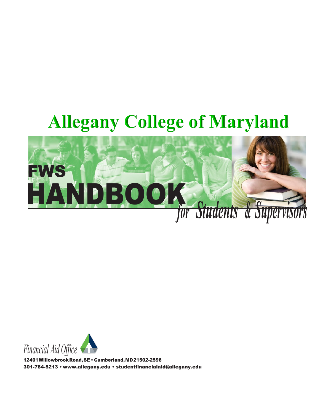# **Allegany College of Maryland**





12401WillowbrookRoad,SE • Cumberland,MD21502-2596 301-784-5213 [• www.allegany.edu](http://www.allegany.edu/) • studentfinancialaid@allegany.edu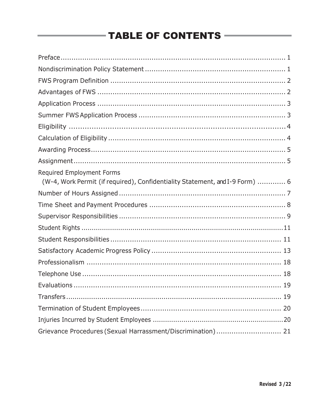# **TABLE OF CONTENTS**

| Required Employment Forms<br>(W-4, Work Permit (if required), Confidentiality Statement, and I-9 Form)  6 |
|-----------------------------------------------------------------------------------------------------------|
|                                                                                                           |
|                                                                                                           |
|                                                                                                           |
|                                                                                                           |
|                                                                                                           |
|                                                                                                           |
|                                                                                                           |
|                                                                                                           |
|                                                                                                           |
|                                                                                                           |
|                                                                                                           |
|                                                                                                           |
| Grievance Procedures (Sexual Harrassment/Discrimination) 21                                               |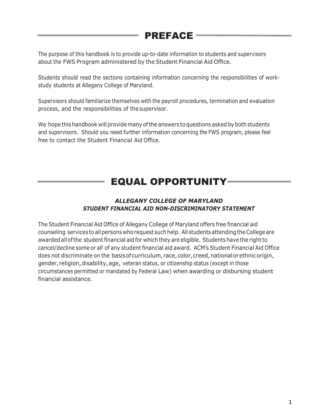# <span id="page-2-0"></span>PREFACE

The purpose of this handbook is to provide up-to-date information to students and supervisors about the FWS Program administered by the Student Financial Aid Office.

Students should read the sections containing information concerning the responsibilities of workstudy students at Allegany College of Maryland.

Supervisors should familiarize themselves with the payroll procedures, termination and evaluation process, and the responsibilities of the supervisor.

We hope this handbook will provide many of the answers to questions asked by both students and supervisors. Should you need further information concerning the FWS program, please feel free to contact the Student Financial Aid Office.

# EQUAL OPPORTUNITY

### *ALLEGANY COLLEGE OF MARYLAND STUDENT FINANCIAL AID NON-DISCRIMINATORY STATEMENT*

The Student Financial Aid Office of Allegany College of Maryland offers free financial aid counseling services to all persons who request such help. All students attending the College are awarded all of the student financial aid for which they are eligible. Students have the right to cancel/decline some or all of any student financial aid award. ACM's Student Financial Aid Office does not discriminate on the basis of curriculum, race, color, creed, national or ethnicorigin, gender, religion, disability, age, veteran status, or citizenship status (except in those circumstances permitted or mandated by Federal Law) when awarding or disbursing student financial assistance.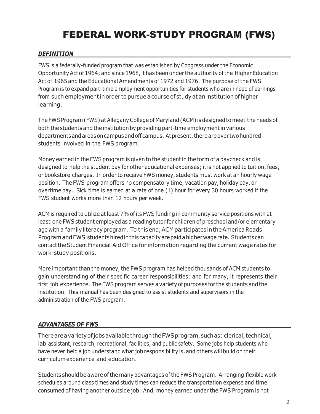# FEDERAL WORK-STUDY PROGRAM (FWS)

### *DEFINITION*

FWS is a federally-funded program that was established by Congress under the Economic Opportunity Act of 1964; and since 1968, it has been under the authority of the Higher Education Act of 1965 and the Educational Amendments of 1972 and 1976. The purpose of the FWS Program is to expand part-time employment opportunities for students who are in need of earnings from such employmentin order to pursue a course of study at an institution of higher learning.

The FWS Program (FWS) at Allegany College of Maryland (ACM) is designed to meet the needs of both the students and the institution by providing part-time employment in various departments and areas on campus and off campus. At present, there are over two hundred students involved in the FWS program.

Money earned in the FWS program is given to the student in the form of a paycheck and is designed to help the student pay for other educational expenses; it is not applied to tuition, fees, or bookstore charges. In order to receive FWS money, students must work at an hourly wage position. The FWS program offers no compensatory time, vacation pay, holiday pay, or overtime pay. Sick time is earned at a rate of one (1) hour for every 30 hours worked if the FWS student works more than 12 hours per week.

ACM is required to utilize at least 7% of its FWS funding in community service positions with at least one FWS student employed as a reading tutor for children of preschool and/or elementary age with a family literacy program. To this end, ACM participates in the America Reads ProgramandFWS students hired inthis capacityare paid a higher wagerate. Students can contact the Student Financial Aid Office for information regarding the current wage rates for work-study positions.

More important than the money, the FWS program has helped thousands of ACM students to gain understanding of their specific career responsibilities; and for many, it represents their first job experience. The FWS program serves a variety of purposes for the students and the institution. This manual has been designed to assist students and supervisors in the administration of the FWS program.

# *ADVANTAGES OF FWS*

There are a variety of jobs available through the FWS program, such as: clerical, technical, lab assistant, research, recreational, facilities, and public safety. Some jobs help students who have never held a job understand what job responsibility is, and others will build on their curriculumexperience and education.

Students should be aware of the many advantages of the FWS Program. Arranging flexible work schedules around class times and study times can reduce the transportation expense and time consumed of having another outside job. And, money earned under the FWS Program is not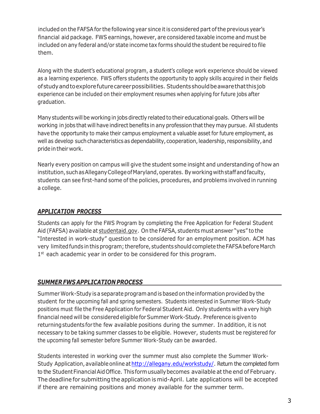included on the FAFSA for the following year since it is considered part of the previous year's financial aid package. FWS earnings, however, are considered taxable income and must be included on any federal and/or state income tax forms should the student be required to file them.

Along with the student's educational program, a student's college work experience should be viewed as a learning experience. FWS offers students the opportunity to apply skills acquired in their fields ofstudyandtoexplorefuturecareerpossibilities. Studentsshouldbeawarethatthisjob experience can be included on their employment resumes when applying for future jobs after graduation.

Many students will be working in jobs directly related to their educational goals. Others will be working in jobs that will have indirect benefits in any profession that they may pursue. All students have the opportunity to make their campus employment a valuable asset for future employment, as well as develop such characteristics as dependability, cooperation, leadership, responsibility, and pride in their work.

Nearly every position on campus will give the student some insight and understanding of how an institution, such as Allegany College of Maryland, operates. By working with staff and faculty, students can see first-hand some of the policies, procedures, and problems involved in running a college.

#### <span id="page-4-0"></span>*APPLICATION PROCESS*

Students can apply for the FWS Program by completing the Free Application for Federal Student Aid (FAFSA) available at [studentaid.gov.](http://www.fafsa.gov/) On the FAFSA, students must answer "yes" to the "Interested in work-study" question to be considered for an employment position. ACM has very limited funds inthisprogram; therefore, students shouldcomplete the FAFSAbeforeMarch 1<sup>st</sup> each academic year in order to be considered for this program.

# *SUMMER FWS APPLICATION PROCESS*

Summer Work-Study is a separate program and is based on the information provided by the student for the upcoming fall and spring semesters. Students interested in Summer Work-Study positions must file the Free Application for Federal Student Aid. Only students with a very high financial need will be consideredeligibleforSummerWork-Study. Preferenceis given to returning students for the few available positions during the summer. In addition, it is not necessary to be taking summer classes to be eligible. However, students must be registered for the upcoming fall semester before Summer Work-Study can be awarded.

Students interested in working over the summer must also complete the Summer Work-Study Application, available online at http://allegany.edu/workstudy/. Return the completed form to the Student Financial AidOffice. This form usually becomes available atthe end of February. The deadline for submitting the application is mid-April. Late applications will be accepted if there are remaining positions and money available for the summer term.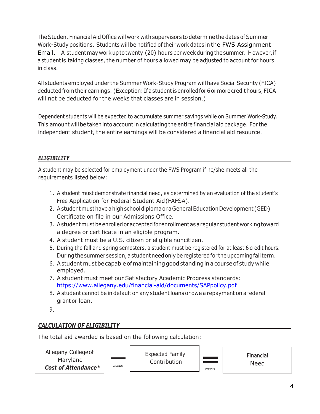The Student Financial Aid Office will work with supervisors to determine the dates of Summer Work-Study positions. Students will be notified of their work dates in the FWS Assignment Email. A studentmay work up to twenty (20) hours per week during the summer. However,if a student is taking classes, the number of hours allowed may be adjusted to account for hours in class.

All students employed under the Summer Work-Study Program will have Social Security (FICA) deductedfrom their earnings. (Exception: If a studentis enrolled for 6 ormorecredit hours, FICA will not be deducted for the weeks that classes are in session.)

Dependent students will be expected to accumulate summer savings while on Summer Work-Study. This amount will be taken into accountin calculating the entire financial aid package. For the independent student, the entire earnings will be considered a financial aid resource.

# *ELIGIBILITY*

A student may be selected for employment under the FWS Program if he/she meets all the requirements listed below:

- 1. A student must demonstrate financial need, as determined by an evaluation of the student's Free Application for Federal Student Aid (FAFSA).
- 2. A student must have a high school diploma or a General Education Development (GED) Certificate on file in our Admissions Office.
- 3. A student must be enrolled oracceptedfor enrollment as a regular student workingtoward a degree or certificate in an eligible program.
- 4. A student must be a U.S. citizen or eligible noncitizen.
- 5. During the fall and spring semesters, a student must be registered for at least 6 credit hours. During the summer session, a studentneed only beregisteredfor the upcoming fall term.
- 6. A student must be capable of maintaining good standing in a course of study while employed.
- 7. A student must meet our Satisfactory Academic Progress standards: <https://www.allegany.edu/financial-aid/documents/SAPpolicy.pdf>
- 8. A student cannot be in default on any student loans or owe a repayment on a federal grant or loan.
- 9.

# *CALCULATION OF ELIGIBILITY*

The total aid awarded is based on the following calculation:

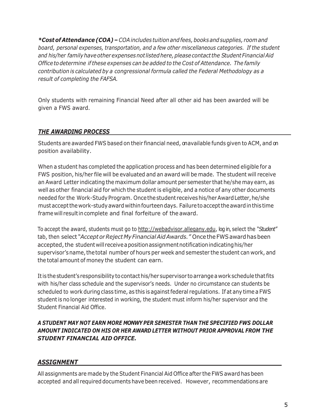*\*Costof Attendance(COA) – COA includes tuition and fees,books and supplies, room and board, personal expenses, transportation, and a few other miscellaneous categories. If the student and his/her family have other expenses not listedhere,pleasecontact the Student Financial Aid Officetodetermine ifthese expenses can be added to the Cost of Attendance. The family contribution is calculated by a congressional formula called the Federal Methodology as a result of completing the FAFSA.* 

Only students with remaining Financial Need after all other aid has been awarded will be given a FWS award.

# *THE AWARDING PROCESS*

Students are awarded FWS based on their financial need, on available funds given to ACM, and on position availability.

When a student has completed the application process and has been determined eligible for a FWS position, his/her file will be evaluated and an award will be made. The student will receive an Award Letter indicating the maximum dollar amount per semester that he/she may earn, as well as other financial aid for which the student is eligible, and a notice of any other documents needed for the Work-Study Program. Once the student receives his/her Award Letter, he/she must accept the work-study award within fourteen days. Failure to accept the award in this time frame will resultincomplete and final forfeiture of the award.

To accept the award, students must go to [http://webadvisor.allegany.edu, lo](http://webadvisor.allegany.edu/)g in, select the *"Student"*  tab, then select *"Acceptor Reject MyFinancialAidAwards."* OncetheFWSawardhasbeen accepted, the student will receive a position assignment notification indicating his/her supervisor's name, the total number of hours per week and semester the student can work, and the total amount of money the student can earn.

It is the student's responsibility to contact his/her supervisor to arrange a work schedule that fits with his/her class schedule and the supervisor's needs. Under no circumstance can students be scheduled to work during class time, as this is against federal regulations. If at any time a FWS student is no longer interested in working, the student must inform his/her supervisor and the Student Financial Aid Office.

### *A STUDENT MAY NOT EARN MORE MONWY PER SEMESTER THAN THE SPECIFIED FWS DOLLAR AMOUNT INDICATED ON HIS OR HER AWARD LETTER WITHOUT PRIOR APPROVAL FROM THE STUDENT FINANCIAL AID OFFICE.*

# *ASSIGNMENT*

All assignments are made by the Student Financial Aid Office after the FWS award has been accepted and all required documents have been received. However, recommendations are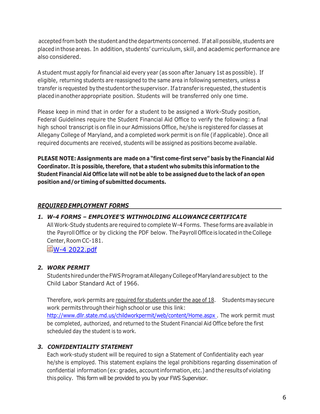accepted from both the student and the departments concerned. If at all possible, students are placedinthose areas. In addition, students' curriculum, skill, and academic performance are also considered.

A student must apply for financial aid every year (as soon after January 1st as possible). If eligible, returning students are reassigned to the same area in following semesters, unless a transfer is requested by the student or the supervisor. If a transfer isrequested, the student is placedinanotherappropriate position. Students will be transferred only one time.

Please keep in mind that in order for a student to be assigned a Work-Study position, Federal Guidelines require the Student Financial Aid Office to verify the following: a final high school transcriptis on file in our Admissions Office, he/she is registered for classes at Allegany College of Maryland, and a completed work permit is on file (if applicable). Once all required documents are received, students will be assigned as positions become available.

**PLEASE NOTE: Assignments are made on a "first come-first serve" basis by the Financial Aid Coordinator. It is possible, therefore, that a student who submits this information to the Student Financial Aid Office late will not be able to be assigned due to the lack of an open position and/or timing of submitted documents.**

# <span id="page-7-0"></span>*REQUIRED EMPLOYMENT FORMS*

# *1. W-4 FORMS – EMPLOYEE'S WITHHOLDING ALLOWANCE CERTIFICATE*

All Work-Study students are required to complete W-4 Forms. These forms are available in the Payroll Office or by clicking the PDF below. The Payroll Officeis locatedintheCollege Center, Room CC-181.

**型[W-4 2022.pdf](https://nam02.safelinks.protection.outlook.com/ap/b-59584e83/?url=https%3A%2F%2Fempallegany.sharepoint.com%2F%3Ab%3A%2Fs%2Fport%2Fhumanresources%2FET9P4IpLHx5LkjCtzOuqVZQBlSKThBRrZ2ykUyCIlmS6gw%3Fe%3DrhhRRR&data=04%7C01%7Cvsmith%40allegany.edu%7Cdc37e812853d4d2139ca08da10cd5fff%7C4de20229d53245f1b02bc0706ddb9536%7C0%7C0%7C637840771517908566%7CUnknown%7CTWFpbGZsb3d8eyJWIjoiMC4wLjAwMDAiLCJQIjoiV2luMzIiLCJBTiI6Ik1haWwiLCJXVCI6Mn0%3D%7C3000&sdata=kD3ZSNtr40DnIhAwoV%2FG812foBQgqi7%2BucQLjOL8v1E%3D&reserved=0)** 

# *2. WORK PERMIT*

Students hired under the FWSProgramatAlleganyCollegeofMarylandaresubject to the Child Labor Standard Act of 1966.

Therefore, work permits are required for students under the age of 18. Students may secure work permits through their high school or use this link: [http://www.dllr.state.md.us/childworkpermit/web/content/Home.aspx .](http://www.dllr.state.md.us/childworkpermit/web/content/Home.aspx) The work permit must be completed, authorized, and returned to the Student Financial Aid Office before the first scheduled day the student is to work.

# *3. CONFIDENTIALITY STATEMENT*

Each work-study student will be required to sign a Statement of Confidentiality each year he/she is employed. This statement explains the legal prohibitions regarding dissemination of confidential information (ex: grades, account information, etc.) and the results of violating thispolicy. This form will be provided to you by your FWS Supervisor.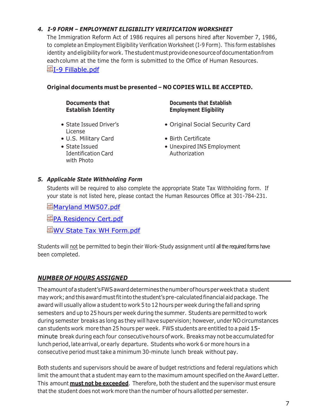#### *4. I-9 FORM – EMPLOYMENT ELIGIBILITY VERIFICATION WORKSHEET*

The Immigration Reform Act of 1986 requires all persons hired after November 7, 1986, to complete an Employment Eligibility Verification Worksheet (I-9 Form). This form establishes identity and eligibility for work. The student must provide one source of documentation from each column at the time the form is submitted to the Office of Human Resources. 图[I-9 Fillable.pdf](https://nam02.safelinks.protection.outlook.com/ap/b-59584e83/?url=https%3A%2F%2Fempallegany.sharepoint.com%2F%3Ab%3A%2Fs%2Fport%2Fhumanresources%2FEQ9xIKgFKfpGgOAB2nwVyxUB8Gi3YdzFcOWMvMG6xwnFzQ%3Fe%3DudLXom&data=04%7C01%7Cvsmith%40allegany.edu%7Cdc37e812853d4d2139ca08da10cd5fff%7C4de20229d53245f1b02bc0706ddb9536%7C0%7C0%7C637840771517908566%7CUnknown%7CTWFpbGZsb3d8eyJWIjoiMC4wLjAwMDAiLCJQIjoiV2luMzIiLCJBTiI6Ik1haWwiLCJXVCI6Mn0%3D%7C3000&sdata=c9adhrV2hXGV7IGshR7%2FWrGgOJmeIvzDmeFSuYjZic8%3D&reserved=0)

#### **Original documents must be presented – NO COPIES WILL BE ACCEPTED.**

**Documents that Establish Identity**

- State Issued Driver's License
- U.S. Military Card Birth Certificate
- State Issued Identification Card with Photo

#### **Documents that Establish Employment Eligibility**

- Original Social Security Card
- 
- Unexpired INS Employment Authorization

#### *5. Applicable State Withholding Form*

Students will be required to also complete the appropriate State Tax Withholding form. If your state is not listed here, please contact the Human Resources Office at 301-784-231.

뼵[Maryland MW507.pdf](https://nam02.safelinks.protection.outlook.com/ap/b-59584e83/?url=https%3A%2F%2Fempallegany.sharepoint.com%2F%3Ab%3A%2Fs%2Fport%2Fhumanresources%2FEYKYVKAkPGxFojiNasRlucUB6TniOxpBvg8uNEpJlpjDYg%3Fe%3DwLows6&data=04%7C01%7Cvsmith%40allegany.edu%7Cdc37e812853d4d2139ca08da10cd5fff%7C4de20229d53245f1b02bc0706ddb9536%7C0%7C0%7C637840771517908566%7CUnknown%7CTWFpbGZsb3d8eyJWIjoiMC4wLjAwMDAiLCJQIjoiV2luMzIiLCJBTiI6Ik1haWwiLCJXVCI6Mn0%3D%7C3000&sdata=NgL%2Bslzw8UW%2FW1y3PbNJO7rPDKDf7Sty5m4BjKuccrU%3D&reserved=0)

**图[PA Residency Cert.pdf](https://nam02.safelinks.protection.outlook.com/ap/b-59584e83/?url=https%3A%2F%2Fempallegany.sharepoint.com%2F%3Ab%3A%2Fs%2Fport%2Fhumanresources%2FEbrnsx7YCwVMgwDjjs-RLvMBbtxLs6vqvL1Q00M3acIpzw%3Fe%3DpNquoU&data=04%7C01%7Cvsmith%40allegany.edu%7Cdc37e812853d4d2139ca08da10cd5fff%7C4de20229d53245f1b02bc0706ddb9536%7C0%7C0%7C637840771517908566%7CUnknown%7CTWFpbGZsb3d8eyJWIjoiMC4wLjAwMDAiLCJQIjoiV2luMzIiLCJBTiI6Ik1haWwiLCJXVCI6Mn0%3D%7C3000&sdata=naAQ7rEmuA80ZtqvPyhn24ZlUweVPuAdU%2F2vsQtnftk%3D&reserved=0)** 

ڧ[WV State Tax WH Form.pdf](https://nam02.safelinks.protection.outlook.com/ap/b-59584e83/?url=https%3A%2F%2Fempallegany.sharepoint.com%2F%3Ab%3A%2Fs%2Fport%2Fhumanresources%2FEaDnqdz7ONlFqroCiAaMQ8MBnYOWCag549a_kYxXY-VsVQ%3Fe%3DdNzcFq&data=04%7C01%7Cvsmith%40allegany.edu%7Cdc37e812853d4d2139ca08da10cd5fff%7C4de20229d53245f1b02bc0706ddb9536%7C0%7C0%7C637840771517908566%7CUnknown%7CTWFpbGZsb3d8eyJWIjoiMC4wLjAwMDAiLCJQIjoiV2luMzIiLCJBTiI6Ik1haWwiLCJXVCI6Mn0%3D%7C3000&sdata=sEAOMbD3%2Fj5fXUXxysDfaAXM4AS0NIr7Fy37gvloUGg%3D&reserved=0)

Students will not be permitted to begin their Work-Study assignment until all the required forms have been completed.

# *NUMBER OF HOURS ASSIGNED*

The amount of a student'sFWSawarddetermines the numberof hours perweekthata student may work; and thisaward must fit into the student'spre-calculatedfinancial aidpackage. The award will usually allow a student to work 5 to 12 hours per week during the fall and spring semesters and up to 25 hours per week during the summer. Students are permitted to work during semester breaks as long as they will have supervision; however, under NO circumstances can students work more than 25 hours per week. FWS students are entitled to a paid 15 minute break during each four consecutive hours of work. Breaks may not be accumulated for lunch period, late arrival, or early departure. Students who work 6 or more hours in a consecutive period must take a minimum 30-minute lunch break without pay.

Both students and supervisors should be aware of budget restrictions and federal regulations which limit the amount that a student may earn to the maximum amount specified on the Award Letter. This amount **must not be exceeded**. Therefore, both the student and the supervisor must ensure that the student does not work more than the number of hours allotted per semester.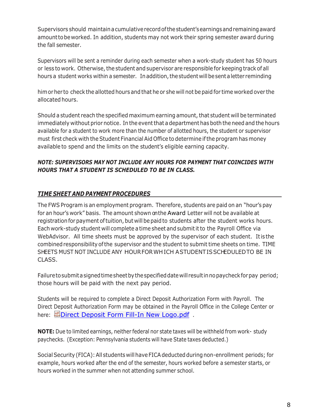Supervisors should maintain a cumulative recordof the student's earnings and remaining award amount tobeworked. In addition, students may not work their spring semester award during the fall semester.

Supervisors will be sent a reminder during each semester when a work-study student has 50 hours or less to work. Otherwise, the student and supervisor are responsible for keeping track of all hours a student works within a semester. Inaddition, the student will be sent a letter reminding

himor her to check the allotted hours and that he or she will not be paid for time worked over the allocated hours.

Should a student reach the specified maximum earning amount, that student will be terminated immediately without prior notice. In the event that a department has both the need and the hours available for a student to work more than the number of allotted hours, the student or supervisor must first check with the Student Financial Aid Office to determine if the program has money available to spend and the limits on the student's eligible earning capacity.

#### *NOTE: SUPERVISORS MAY NOT INCLUDE ANY HOURS FOR PAYMENT THAT COINCIDES WITH HOURS THAT A STUDENT IS SCHEDULED TO BE IN CLASS.*

# <span id="page-9-0"></span>*TIME SHEET AND PAYMENT PROCEDURES*

The FWS Program is an employment program. Therefore, students are paid on an "hour's pay for an hour's work" basis. The amount shown onthe Award Letter will not be available at registration for payment of tuition, but will be paid to students after the student works hours. Each work-study student will complete a time sheet and submititto the Payroll Office via WebAdvisor. All time sheets must be approved by the supervisor of each student. It is the combined responsibility ofthe supervisor and the student to submit time sheets on time. TIME SHEETS MUST NOT INCLUDE ANY HOUR FOR WH ICH A STUDENTIS SCHEDULEDTO BE IN CLASS.

Failure to submit a signed time sheet by the specified date will result in no paycheck for pay period; those hours will be paid with the next pay period.

Students will be required to complete a Direct Deposit Authorization Form with Payroll. The Direct Deposit Authorization Form may be obtained in the Payroll Office in the College Center or here:  **回Direct Deposit Form Fill-In New Logo.pdf** .

**NOTE:** Due to limited earnings, neither federal nor state taxes will be withheld from work- study paychecks. (Exception: Pennsylvania students will have State taxes deducted.)

Social Security (FICA): All students will have FICA deducted during non-enrollment periods; for example, hours worked after the end of the semester, hours worked before a semester starts, or hours worked in the summer when not attending summer school.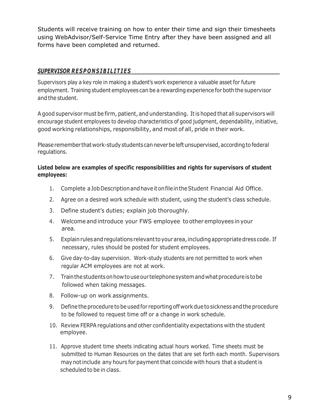Students will receive training on how to enter their time and sign their timesheets using WebAdvisor/Self-Service Time Entry after they have been assigned and all forms have been completed and returned.

#### *SUPERVISOR RESPONSIBILITIES*

Supervisors play a key role in making a student's work experience a valuable asset for future employment. Training student employees can be a rewarding experience for both the supervisor and the student.

A good supervisor must be firm, patient, and understanding. Itis hoped that all supervisors will encourage student employees to develop characteristics of good judgment, dependability, initiative, good working relationships, responsibility, and most of all, pride in their work.

Please remember that work-study students can never be left unsupervised, according to federal regulations.

#### **Listed below are examples of specific responsibilities and rights for supervisors of student employees:**

- 1. Complete a JobDescription and have it on file inthe Student Financial Aid Office.
- 2. Agree on a desired work schedule with student, using the student's class schedule.
- 3. Define student's duties; explain job thoroughly.
- 4. Welcomeand introduce your FWS employee to other employees inyour area.
- 5. Explainrules and regulations relevantto your area, including appropriatedress code. If necessary, rules should be posted for student employees.
- 6. Give day-to-day supervision. Work-study students are not permitted to work when regular ACM employees are not at work.
- 7. Train the studentson how to use our telephone system and whatprocedureistobe followed when taking messages.
- 8. Follow-up on work assignments.
- 9. Define the procedure tobe used for reporting off work due to sickness and the procedure to be followed to request time off or a change in work schedule.
- 10. Review FERPA regulations and other confidentiality expectations with the student employee.
- 11. Approve student time sheets indicating actual hours worked. Time sheets must be submitted to Human Resources on the dates that are set forth each month. Supervisors may not include any hours for payment that coincide with hours that a student is scheduled to be in class.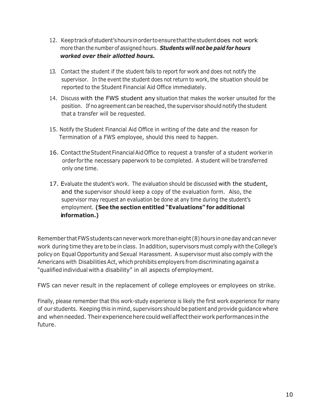- 12. Keeptrackofstudent's hours inorder to ensure that the student does not work more than the number of assigned hours. *Students will not be paid for hours worked over their allotted hours.*
- 13. Contact the student if the student fails to report for work and does not notify the supervisor. In the event the student does not return to work, the situation should be reported to the Student Financial Aid Office immediately.
- 14. Discuss with the FWS student any situation that makes the worker unsuited for the position. If no agreement can be reached, the supervisor should notify the student that a transfer will be requested.
- 15. Notify the Student Financial Aid Office in writing of the date and the reason for Termination of a FWS employee, should this need to happen.
- 16. Contact the Student Financial AidOffice to request a transfer of a student worker in order for the necessary paperwork to be completed. A student will be transferred only one time.
- 17. Evaluate the student's work. The evaluation should be discussed with the student, and the supervisor should keep a copy of the evaluation form. Also, the supervisor may request an evaluation be done at any time during the student's employment. **(See the section entitled "Evaluations" for additional information.)**

Remember thatFWSstudents cannever workmorethan eight (8) hours in one day and cannever work during time they are to be in class. In addition, supervisors must comply with the College's policy on Equal Opportunity and Sexual Harassment. A supervisor must also comply with the Americans with Disabilities Act, which prohibits employers from discriminating against a "qualified individual with a disability" in all aspects ofemployment.

FWS can never result in the replacement of college employees or employees on strike.

Finally, please remember that this work-study experience is likely the first work experience for many of our students. Keeping this in mind, supervisors should be patient and provide guidance where and when needed. Their experience here could well affect their work performances in the future.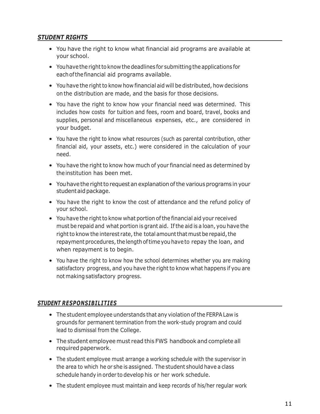#### *STUDENT RIGHTS*

- You have the right to know what financial aid programs are available at your school.
- You have the rightto know the deadlines for submitting the applications for eachof the financial aid programs available.
- You have the right to know how financial aid will be distributed, how decisions on the distribution are made, and the basis for those decisions.
- You have the right to know how your financial need was determined. This includes how costs for tuition and fees, room and board, travel, books and supplies, personal and miscellaneous expenses, etc., are considered in your budget.
- You have the right to know what resources (such as parental contribution, other financial aid, your assets, etc.) were considered in the calculation of your need.
- You have the right to know how much of your financial need as determined by the institution has been met.
- You have the right to request an explanation of the various programs in your student aid package.
- You have the right to know the cost of attendance and the refund policy of your school.
- You have the right to know what portion of the financial aid your received must be repaid and what portion is grant aid. If the aid is a loan, you have the right to know the interest rate, the total amount that must be repaid, the repayment procedures, the length of time you have to repay the loan, and when repayment is to begin.
- You have the right to know how the school determines whether you are making satisfactory progress, and you have the right to know what happens if you are not making satisfactory progress.

#### *STUDENT RESPONSIBILITIES*

- The student employee understands that any violation of the FERPALaw is grounds for permanent termination from the work-study program and could lead to dismissal from the College.
- The student employee must read this FWS handbook and complete all required paperwork.
- The student employee must arrange a working schedule with the supervisor in the area to which he or she is assigned. The student should have a class schedule handy in order to develop his or her work schedule.
- The student employee must maintain and keep records of his/her regular work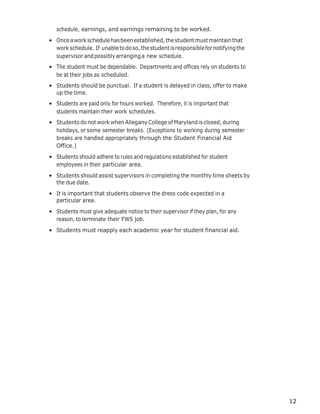schedule, earnings, and earnings remaining to be worked.

- Once a workschedule has beenestablished, the student must maintain that work schedule. If unabletodoso, the student is responsiblefor notifying the supervisor and possibly arranging a new schedule.
- The student must be dependable. Departments and offices rely on students to be at their jobs as scheduled.
- Students should be punctual. If a student is delayed in class, offer to make up the time.
- Students are paid only for hours worked. Therefore, it is important that students maintain their work schedules.
- Students do not work when Allegany College of Maryland is closed, during holidays, or some semester breaks. (Exceptions to working during semester breaks are handled appropriately through the Student Financial Aid Office.)
- Students should adhere to rules and regulations established for student employees in their particular area.
- Students should assist supervisors in completing the monthly time sheets by the due date.
- It is important that students observe the dress code expected in a particular area.
- Students must give adequate notice to their supervisor if they plan, for any reason, to terminate their FWS job.
- Students must reapply each academic year for student financial aid.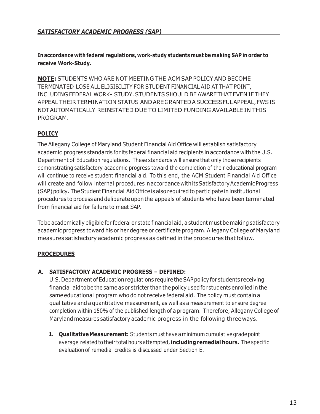**In accordance with federal regulations, work-study students must bemaking SAP in order to receive Work-Study.**

**NOTE:** STUDENTS WHO ARE NOT MEETING THE ACM SAP POLICY AND BECOME TERMINATED LOSE ALL ELIGIBILITY FOR STUDENT FINANCIAL AID AT THAT POINT, INCLUDING FEDERAL WORK- STUDY. STUDENTS SHOULD BE AWARE THAT EVEN IF THEY APPEAL THEIR TERMINATION STATUS AND ARE GRANTED A SUCCESSFUL APPEAL, FWSIS NOTAUTOMATICALLY REINSTATED DUE TO LIMITED FUNDING AVAILABLE IN THIS PROGRAM.

# **POLICY**

The Allegany College of Maryland Student Financial Aid Office will establish satisfactory academic progress standards for its federal financial aid recipients in accordance with the U.S. Department of Education regulations. These standards will ensure that only those recipients demonstrating satisfactory academic progress toward the completion of their educational program will continue to receive student financial aid. To this end, the ACM Student Financial Aid Office will create and follow internal procedures in accordance with its Satisfactory Academic Progress (SAP)policy. The Student Financial Aid Office is also required to participate ininstitutional procedures to process and deliberate upon the appeals of students who have been terminated from financial aid for failure to meet SAP.

Tobe academically eligible for federal or state financial aid, a student must be making satisfactory academic progress toward his or her degree or certificate program. Allegany College of Maryland measures satisfactory academic progress as defined in the procedures that follow.

#### **PROCEDURES**

#### **A. SATISFACTORY ACADEMIC PROGRESS – DEFINED:**

U.S.Department of Education regulations require the SAPpolicy for students receiving financial aidtobe the same as or stricter than the policy used for students enrolled in the same educational program who do not receive federal aid. The policy must contain a qualitative and a quantitative measurement, as well as a measurement to ensure degree completion within 150% of the published length of a program. Therefore, Allegany College of Maryland measures satisfactory academic progress in the following threeways.

**1. Qualitative Measurement:** Students must have a minimum cumulative grade point average related to their total hours attempted, **including remedial hours.** The specific evaluation of remedial credits is discussed under Section E.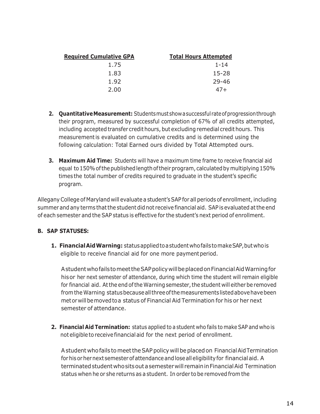| <b>Required Cumulative GPA</b> | <b>Total Hours Attempted</b> |
|--------------------------------|------------------------------|
| 1.75                           | $1 - 14$                     |
| 1.83                           | 15-28                        |
| 1.92                           | 29-46                        |
| 2.00                           | $47+$                        |

- **2. Quantitative Measurement:** Studentsmustshow a successful rateofprogression through their program, measured by successful completion of 67% of all credits attempted, including accepted transfer credit hours, but excluding remedial credit hours. This measurementis evaluated on cumulative credits and is determined using the following calculation: Total Earned ours divided by Total Attempted ours.
- **3. Maximum Aid Time:** Students will have a maximum time frame to receive financial aid equal to 150% of the published length of their program, calculated by multiplying 150% times the total number of credits required to graduate in the student's specific program.

Allegany College of Maryland will evaluate a student'sSAP for all periods of enrollment, including summer and any terms that the student did not receive financial aid. SAP is evaluated at the end of each semester and the SAP status is effective for the student's next period of enrollment.

# **B. SAP STATUSES:**

**1. FinancialAidWarning:** statusappliedto a student who failstomakeSAP, but who is eligible to receive financial aid for one more paymentperiod.

A studentwhofailstomeetthe SAP policywillbeplacedonFinancialAidWarningfor hisor her next semester of attendance, during which time the student will remain eligible for financial aid. At the end of the Warning semester, the student will either be removed from the Warning statusbecause all three of the measurementslistedabove have been metor will bemovedtoa status of Financial Aid Termination for his or her next semester of attendance.

**2. Financial Aid Termination:** status applied to a student who fails to make SAP and who is not eligible to receive financial aid for the next period of enrollment.

A student whofails tomeetthe SAP policy will beplacedon Financial Aid Termination for his orher next semesterofattendance and loseall eligibility for financialaid. A terminated student who sits out a semester will remain in Financial Aid Termination status when he or she returns as a student. In order to be removed from the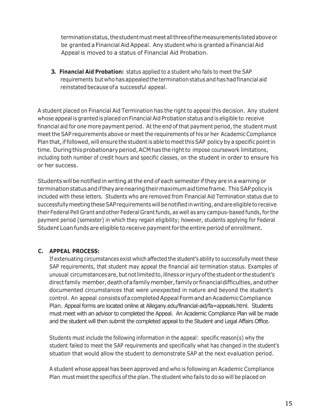terminationstatus, the student must meetall three of the measurementslistedaboveor be granted a Financial Aid Appeal. Any student who is granted a Financial Aid Appeal is moved to a status of Financial Aid Probation.

**3. Financial Aid Probation:** status applied to a student who fails to meet the SAP requirements but who has appealed the terminationstatus and has had financial aid reinstated because of a successful appeal.

A student placed on Financial Aid Termination has the right to appeal this decision. Any student whose appeal is granted is placed on Financial Aid Probation status and is eligible to receive financial aid for one more payment period. At the end of that payment period, the student must meet the SAP requirements above or meet the requirements of his or her AcademicCompliance Plan that, if followed, will ensure the student is able to meet this SAP policy by a specific point in time. During this probationary period, ACM has the right to impose coursework limitations, including both number of credit hours and specific classes, on the student in order to ensure his or her success.

Students will be notified in writing at the end of each semester if they are in a warning or terminationstatusandiftheyarenearingtheirmaximumaidtimeframe. This SAP policyis included with these letters. Students who are removed from Financial Aid Termination status due to successfully meeting these SAP requirements will be notified in writing, and are eligible to receive their Federal Pell Grant and other Federal Grant funds, as well as any campus-based funds, for the payment period (semester) in which they regain eligibility; however, students applying for Federal Student Loan funds are eligible to receive payment for the entire period of enrollment.

#### **C. APPEAL PROCESS:**

If extenuating circumstances exist which affected the student's ability to successfully meet these SAP requirements, that student may appeal the financial aid termination status. Examples of unusual circumstancesare, but not limitedto, illness or injuryof the student or the student's direct family member, death of a family member, family or financial difficulties, and other documented circumstances that were unexpected in nature and beyond the student's control. An appeal consistsof a completedAppealFormandanAcademicCompliance Plan. Appeal forms are located online at Allegany.edu/financial-aid/fa=appeals.html. Students must meet with an advisor to completed the Appeal. An Academic Compliance Plan will be made and the student will then submit the completed appeal to the Student and Legal Affairs Office.

Students must include the following information in the appeal: specific reason(s) why the student failed to meet the SAP requirements and specifically what has changed in the student's situation that would allow the student to demonstrate SAP at the next evaluation period.

A student whose appeal has been approved and who is following an Academic Compliance Plan must meet the specifics of the plan. The student who fails to do so will be placed on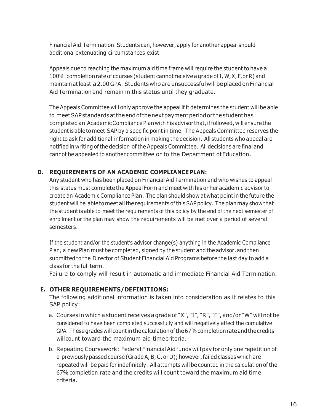Financial Aid Termination. Students can, however, apply for another appeal should additional extenuating circumstances exist.

Appeals due to reaching the maximum aid time frame will require the student to have a 100% completionrate of courses (student cannot receive a grade of I,W,X, F,orR) and maintainatleast a 2.00GPA. Students whoareunsuccessful willbeplacedonFinancial AidTerminationand remain in this status until they graduate.

The Appeals Committee will only approve the appeal if it determines the student will be able to meet SAP standardsattheendofthenextpaymentperiodor thestudenthas completed an Academic Compliance Plan with his advisor that, if followed, will ensure the student is able tomeet SAP by a specific point in time. The Appeals Committee reserves the right to ask for additional information in making the decision. All students who appeal are notified in writing of the decision of the Appeals Committee. All decisions are final and cannot be appealed to another committee or to the Department of Education.

#### **D. REQUIREMENTS OF AN ACADEMIC COMPLIANCEPLAN:**

Any student who has been placed on Financial Aid Termination and who wishes to appeal this status must complete the Appeal Form and meet with his or her academic advisor to create an Academic Compliance Plan. The plan should show at what pointin the future the student will be able to meet all the requirements of this SAP policy. The plan may show that the student is able to meet the requirements of this policy by the end of the next semester of enrollment or the plan may show the requirements will be met over a period of several semesters.

If the student and/or the student's advisor change(s) anything in the Academic Compliance Plan, a new Plan must be completed, signed by the student and the advisor, and then submitted to the Director of Student Financial Aid Programs before the last day to add a class for the full term.

Failure to comply will result in automatic and immediate Financial Aid Termination.

#### **E. OTHER REQUIREMENTS/DEFINITIONS:**

The following additional information is taken into consideration as it relates to this SAP policy:

- a. Courses in which a student receives a grade of "X", "I", "R", "F", and/or "W" will not be considered to have been completed successfully and will negatively affect the cumulative GPA. These grades will count in the calculation of the 67% completion rate and the credits willcount toward the maximum aid timecriteria.
- b. Repeating Coursework: Federal Financial Aid funds will pay for only one repetition of a previously passed course (GradeA,B,C, or D); however,failed classes which are repeated will be paid for indefinitely. All attempts will be counted in the calculation of the 67%completion rate and the credits will count toward the maximum aid time criteria.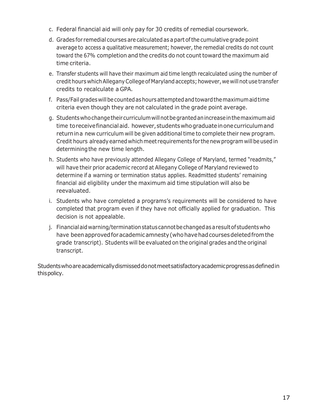- c. Federal financial aid will only pay for 30 credits of remedial coursework.
- d. Grades for remedial courses are calculated as a part of the cumulative grade point average to access a qualitative measurement; however, the remedial credits do not count toward the 67% completion and the credits do not count toward the maximum aid time criteria.
- e. Transfer students will have their maximum aid time length recalculated using the number of credit hours which Allegany College of Maryland accepts; however, we will not use transfer credits to recalculate a GPA.
- f. Pass/Failgrades will be counted ashoursattempted and toward the maximum aid time criteria even though they are not calculated in the grade point average.
- g. Students who change their curriculum will not begrantedanincreasein the maximumaid time toreceivefinancialaid. however, studentswhograduateinonecurriculumand returnina new curriculum will be given additional time to complete their new program. Credit hours alreadyearned whichmeet requirements for the new programwillbe used in determining the new time length.
- h. Students who have previously attended Allegany College of Maryland, termed "readmits," will have their prior academic record at Allegany College of Maryland reviewed to determine if a warning or termination status applies. Readmitted students' remaining financial aid eligibility under the maximum aid time stipulation will also be reevaluated.
- i. Students who have completed a programs's requirements will be considered to have completed that program even if they have not officially applied for graduation. This decision is not appealable.
- j. Financial aid warning/terminationstatuscannotbe changed as a resultofstudents who have been approved for academic amnesty (who have had courses deleted from the grade transcript). Students will be evaluated on the original grades and the original transcript.

Studentswhoareacademicallydismisseddonotmeetsatisfactoryacademicprogressasdefinedin thispolicy.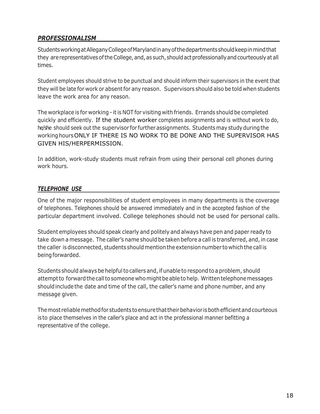# <span id="page-19-0"></span>*PROFESSIONALISM*

StudentsworkingatAlleganyCollegeofMarylandinanyofthedepartmentsshouldkeepinmindthat they are representatives of the College, and, as such, should act professionally and courteously at all times.

Student employees should strive to be punctual and should inform their supervisors in the event that they will be late for work or absent for any reason. Supervisors should also be told when students leave the work area for any reason.

The workplace is for working - it is NOT for visiting with friends. Errands should be completed quickly and efficiently. If the student worker completes assignments and is without work to do, he/she should seek out the supervisor for further assignments. Students may studyduring the working hours ONLY IF THERE IS NO WORK TO BE DONE AND THE SUPERVISOR HAS GIVEN HIS/HERPERMISSION.

In addition, work-study students must refrain from using their personal cell phones during work hours.

#### <span id="page-19-1"></span>*TELEPHONE USE*

One of the major responsibilities of student employees in many departments is the coverage of telephones. Telephones should be answered immediately and in the accepted fashion of the particular department involved. College telephones should not be used for personal calls.

Student employees should speak clearly and politely and always have pen and paper ready to take down a message. The caller's name should be taken before a call is transferred, and, in case the caller isdisconnected, students should mention the extension number to which the call is being forwarded.

Students should always be helpful to callers and, if unable to respond to a problem, should attempt to forward the call to someone who might be able to help. Written telephone messages should include the date and time of the call, the caller's name and phone number, and any message given.

The most reliablemethodfor students to ensure that their behavior isbothefficient and courteous is to place themselves in the caller's place and act in the professional manner befitting a representative of the college.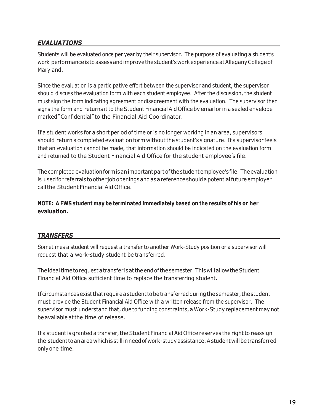# <span id="page-20-0"></span>*EVALUATIONS*

Students will be evaluated once per year by their supervisor. The purpose of evaluating a student's work performanceistoassess and improve the student'sworkexperienceat Allegany Collegeof Maryland.

Since the evaluation is a participative effort between the supervisor and student, the supervisor should discuss the evaluation form with each student employee. After the discussion, the student must sign the form indicating agreement or disagreement with the evaluation. The supervisor then signs the form and returns it to the Student Financial Aid Office by email or in a sealed envelope marked "Confidential" to the Financial Aid Coordinator.

If a student works for a short period of time or is no longer working in an area, supervisors should return a completed evaluation form without the student's signature. If a supervisor feels that an evaluation cannot be made, that information should be indicated on the evaluation form and returned to the Student Financial Aid Office for the student employee's file.

The completed evaluation form is an important part of the student employee's file. The evaluation is usedfor referrals toother jobopenings and as a reference should a potential future employer call the Student Financial Aid Office.

**NOTE: A FWS student may be terminated immediately based on the results of his or her evaluation.**

# <span id="page-20-1"></span>*TRANSFERS*

Sometimes a student will request a transfer to another Work-Study position or a supervisor will request that a work-study student be transferred.

The idealtimetorequest a transfer isat the end of the semester. This will allow the Student Financial Aid Office sufficient time to replace the transferring student.

Ifcircumstancesexistthat require a student tobetransferredduring the semester, the student must provide the Student Financial Aid Office with a written release from the supervisor. The supervisor must understand that, due to funding constraints, a Work-Study replacement may not be available atthe time of release.

<span id="page-20-2"></span>If a student is granted a transfer, the Student Financial Aid Office reserves the right to reassign the studenttoanareawhichis still inneedofwork-studyassistance. A student will betransferred only one time.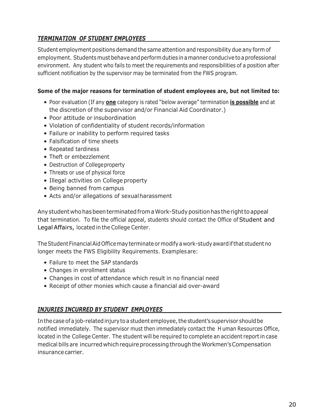# *TERMINATION OF STUDENT EMPLOYEES*

Student employment positions demand the same attention and responsibility due any form of employment. Students must behave and perform duties in a manner conducive to a professional environment. Any student who fails to meet the requirements and responsibilities of a position after sufficient notification by the supervisor may be terminated from the FWS program.

#### **Some of the major reasons for termination of student employees are, but not limited to:**

- Poor evaluation (If any **one** category is rated "below average" termination **is possible** and at the discretion of the supervisor and/or Financial Aid Coordinator.)
- Poor attitude or insubordination
- Violation of confidentiality of student records/information
- Failure or inability to perform required tasks
- Falsification of time sheets
- Repeated tardiness
- Theft or embezzlement
- Destruction of Collegeproperty
- Threats or use of physical force
- Illegal activities on College property
- Being banned from campus
- Acts and/or allegations of sexualharassment

Anystudentwhohasbeenterminatedfrom a Work-Studypositionhas therighttoappeal that termination. To file the official appeal, students should contact the Office of Student and Legal Affairs, located in the College Center.

The Student Financial AidOfficemayterminateormodify a work-studyawardifthat student no longer meets the FWS Eligibility Requirements. Examplesare:

- Failure to meet the SAP standards
- Changes in enrollment status
- Changes in cost of attendance which result in no financial need
- Receipt of other monies which cause a financial aid over-award

#### <span id="page-21-0"></span>*INJURIES INCURRED BY STUDENT EMPLOYEES*

In the case of a job-related injury to a student employee, the student's supervisor should be notified immediately. The supervisor must then immediately contact the H uman Resources Office, located in the College Center. The student will be required to complete an accident reportin case medical bills are incurred which require processing through the Workmen's Compensation insurancecarrier.